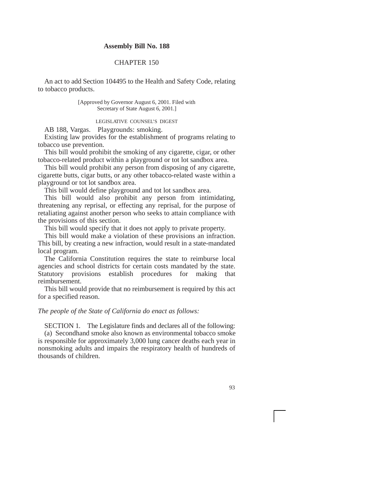## **Assembly Bill No. 188**

## CHAPTER 150

An act to add Section 104495 to the Health and Safety Code, relating to tobacco products.

> [Approved by Governor August 6, 2001. Filed with Secretary of State August 6, 2001.]

## LEGISLATIVE COUNSEL'S DIGEST

AB 188, Vargas. Playgrounds: smoking.

Existing law provides for the establishment of programs relating to tobacco use prevention.

This bill would prohibit the smoking of any cigarette, cigar, or other tobacco-related product within a playground or tot lot sandbox area.

This bill would prohibit any person from disposing of any cigarette, cigarette butts, cigar butts, or any other tobacco-related waste within a playground or tot lot sandbox area.

This bill would define playground and tot lot sandbox area.

This bill would also prohibit any person from intimidating, threatening any reprisal, or effecting any reprisal, for the purpose of retaliating against another person who seeks to attain compliance with the provisions of this section.

This bill would specify that it does not apply to private property.

This bill would make a violation of these provisions an infraction. This bill, by creating a new infraction, would result in a state-mandated local program.

The California Constitution requires the state to reimburse local agencies and school districts for certain costs mandated by the state. Statutory provisions establish procedures for making that reimbursement.

This bill would provide that no reimbursement is required by this act for a specified reason.

## *The people of the State of California do enact as follows:*

SECTION 1. The Legislature finds and declares all of the following: (a) Secondhand smoke also known as environmental tobacco smoke is responsible for approximately 3,000 lung cancer deaths each year in nonsmoking adults and impairs the respiratory health of hundreds of thousands of children.

93

i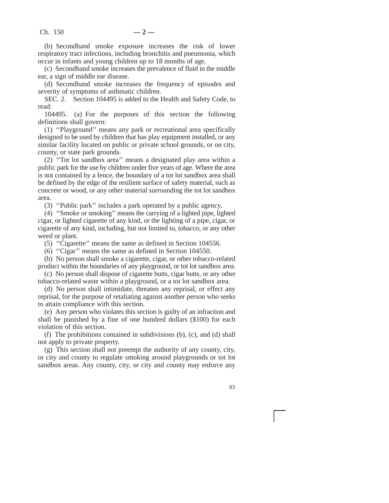(b) Secondhand smoke exposure increases the risk of lower respiratory tract infections, including bronchitis and pneumonia, which occur in infants and young children up to 18 months of age.

(c) Secondhand smoke increases the prevalence of fluid in the middle ear, a sign of middle ear disease.

(d) Secondhand smoke increases the frequency of episodes and severity of symptoms of asthmatic children.

SEC. 2. Section 104495 is added to the Health and Safety Code, to read:

104495. (a) For the purposes of this section the following definitions shall govern:

(1) ''Playground'' means any park or recreational area specifically designed to be used by children that has play equipment installed, or any similar facility located on public or private school grounds, or on city, county, or state park grounds.

(2) ''Tot lot sandbox area'' means a designated play area within a public park for the use by children under five years of age. Where the area is not contained by a fence, the boundary of a tot lot sandbox area shall be defined by the edge of the resilient surface of safety material, such as concrete or wood, or any other material surrounding the tot lot sandbox area.

(3) ''Public park'' includes a park operated by a public agency.

(4) ''Smoke or smoking'' means the carrying of a lighted pipe, lighted cigar, or lighted cigarette of any kind, or the lighting of a pipe, cigar, or cigarette of any kind, including, but not limited to, tobacco, or any other weed or plant.

(5) ''Cigarette'' means the same as defined in Section 104556.

(6) ''Cigar'' means the same as defined in Section 104550.

(b) No person shall smoke a cigarette, cigar, or other tobacco-related product within the boundaries of any playground, or tot lot sandbox area.

(c) No person shall dispose of cigarette butts, cigar butts, or any other tobacco-related waste within a playground, or a tot lot sandbox area.

(d) No person shall intimidate, threaten any reprisal, or effect any reprisal, for the purpose of retaliating against another person who seeks to attain compliance with this section.

(e) Any person who violates this section is guilty of an infraction and shall be punished by a fine of one hundred dollars (\$100) for each violation of this section.

(f) The prohibitions contained in subdivisions (b), (c), and (d) shall not apply to private property.

(g) This section shall not preempt the authority of any county, city, or city and county to regulate smoking around playgrounds or tot lot sandbox areas. Any county, city, or city and county may enforce any

93

i